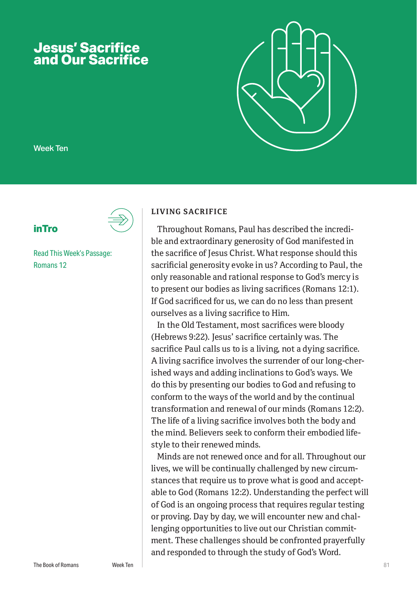# **Jesus' Sacrifice and Our Sacrifice**



Week Ten

# **inTro**

Read This Week's Passage: Romans 12

#### **LIVING SACRIFICE**

Throughout Romans, Paul has described the incredible and extraordinary generosity of God manifested in the sacrifice of Jesus Christ. What response should this sacrificial generosity evoke in us? According to Paul, the only reasonable and rational response to God's mercy is to present our bodies as living sacrifices (Romans 12:1). If God sacrificed for us, we can do no less than present ourselves as a living sacrifice to Him.

In the Old Testament, most sacrifices were bloody (Hebrews 9:22). Jesus' sacrifice certainly was. The sacrifice Paul calls us to is a living, not a dying sacrifice. A living sacrifice involves the surrender of our long-cherished ways and adding inclinations to God's ways. We do this by presenting our bodies to God and refusing to conform to the ways of the world and by the continual transformation and renewal of our minds (Romans 12:2). The life of a living sacrifice involves both the body and the mind. Believers seek to conform their embodied lifestyle to their renewed minds.

Minds are not renewed once and for all. Throughout our lives, we will be continually challenged by new circumstances that require us to prove what is good and acceptable to God (Romans 12:2). Understanding the perfect will of God is an ongoing process that requires regular testing or proving. Day by day, we will encounter new and challenging opportunities to live out our Christian commitment. These challenges should be confronted prayerfully and responded to through the study of God's Word.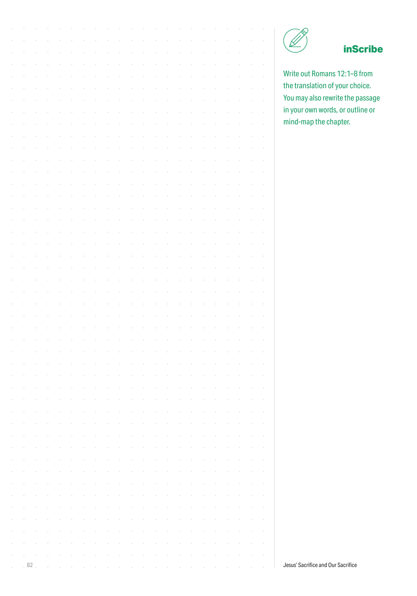

# **inScribe**

Write out Romans 12:1–8 from the translation of your choice. You may also rewrite the passage in your own words, or outline or mind-map the chapter.

|        |    |  |  |  |  |  |  |  |  |  |  | inS                                |
|--------|----|--|--|--|--|--|--|--|--|--|--|------------------------------------|
|        |    |  |  |  |  |  |  |  |  |  |  |                                    |
|        |    |  |  |  |  |  |  |  |  |  |  | Write out Romans 12:1-8            |
|        |    |  |  |  |  |  |  |  |  |  |  | the translation of your che        |
|        |    |  |  |  |  |  |  |  |  |  |  | You may also rewrite the p         |
|        |    |  |  |  |  |  |  |  |  |  |  | in your own words, or out          |
|        |    |  |  |  |  |  |  |  |  |  |  | mind-map the chapter.              |
|        |    |  |  |  |  |  |  |  |  |  |  |                                    |
|        |    |  |  |  |  |  |  |  |  |  |  |                                    |
|        |    |  |  |  |  |  |  |  |  |  |  |                                    |
|        |    |  |  |  |  |  |  |  |  |  |  |                                    |
|        |    |  |  |  |  |  |  |  |  |  |  |                                    |
|        |    |  |  |  |  |  |  |  |  |  |  |                                    |
|        |    |  |  |  |  |  |  |  |  |  |  |                                    |
|        |    |  |  |  |  |  |  |  |  |  |  |                                    |
|        |    |  |  |  |  |  |  |  |  |  |  |                                    |
|        |    |  |  |  |  |  |  |  |  |  |  |                                    |
|        |    |  |  |  |  |  |  |  |  |  |  |                                    |
|        |    |  |  |  |  |  |  |  |  |  |  |                                    |
|        |    |  |  |  |  |  |  |  |  |  |  |                                    |
|        |    |  |  |  |  |  |  |  |  |  |  |                                    |
|        |    |  |  |  |  |  |  |  |  |  |  |                                    |
|        |    |  |  |  |  |  |  |  |  |  |  |                                    |
|        |    |  |  |  |  |  |  |  |  |  |  |                                    |
|        |    |  |  |  |  |  |  |  |  |  |  |                                    |
|        |    |  |  |  |  |  |  |  |  |  |  |                                    |
|        |    |  |  |  |  |  |  |  |  |  |  |                                    |
|        |    |  |  |  |  |  |  |  |  |  |  |                                    |
|        |    |  |  |  |  |  |  |  |  |  |  |                                    |
|        |    |  |  |  |  |  |  |  |  |  |  |                                    |
|        |    |  |  |  |  |  |  |  |  |  |  |                                    |
|        |    |  |  |  |  |  |  |  |  |  |  |                                    |
|        |    |  |  |  |  |  |  |  |  |  |  |                                    |
|        |    |  |  |  |  |  |  |  |  |  |  |                                    |
|        |    |  |  |  |  |  |  |  |  |  |  |                                    |
|        |    |  |  |  |  |  |  |  |  |  |  |                                    |
| $\;$   |    |  |  |  |  |  |  |  |  |  |  |                                    |
| $\,$   |    |  |  |  |  |  |  |  |  |  |  |                                    |
| $\,$   |    |  |  |  |  |  |  |  |  |  |  |                                    |
| $\,$   |    |  |  |  |  |  |  |  |  |  |  |                                    |
| $\,$   |    |  |  |  |  |  |  |  |  |  |  |                                    |
| $\sim$ |    |  |  |  |  |  |  |  |  |  |  |                                    |
| $\sim$ |    |  |  |  |  |  |  |  |  |  |  |                                    |
|        | 82 |  |  |  |  |  |  |  |  |  |  | Jesus' Sacrifice and Our Sacrifice |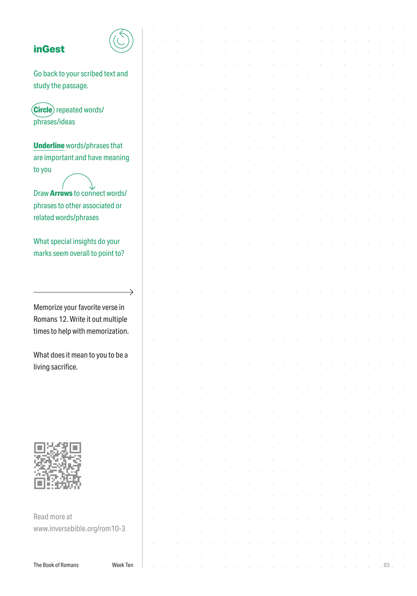### **inGest**



| <b>inGest</b>                       |          |  |  |  |  |  |  |  |  |  |    |  |
|-------------------------------------|----------|--|--|--|--|--|--|--|--|--|----|--|
|                                     |          |  |  |  |  |  |  |  |  |  |    |  |
| Go back to your scribed text and    |          |  |  |  |  |  |  |  |  |  |    |  |
| study the passage.                  |          |  |  |  |  |  |  |  |  |  |    |  |
|                                     |          |  |  |  |  |  |  |  |  |  |    |  |
| <b>Circle</b> repeated words/       |          |  |  |  |  |  |  |  |  |  |    |  |
| phrases/ideas                       |          |  |  |  |  |  |  |  |  |  |    |  |
|                                     |          |  |  |  |  |  |  |  |  |  |    |  |
| <b>Underline</b> words/phrases that |          |  |  |  |  |  |  |  |  |  |    |  |
|                                     |          |  |  |  |  |  |  |  |  |  |    |  |
| are important and have meaning      |          |  |  |  |  |  |  |  |  |  |    |  |
| to you                              |          |  |  |  |  |  |  |  |  |  |    |  |
|                                     |          |  |  |  |  |  |  |  |  |  |    |  |
| Draw Arrows to connect words/       |          |  |  |  |  |  |  |  |  |  |    |  |
| phrases to other associated or      |          |  |  |  |  |  |  |  |  |  |    |  |
| related words/phrases               |          |  |  |  |  |  |  |  |  |  |    |  |
|                                     |          |  |  |  |  |  |  |  |  |  |    |  |
| What special insights do your       |          |  |  |  |  |  |  |  |  |  |    |  |
| marks seem overall to point to?     |          |  |  |  |  |  |  |  |  |  |    |  |
|                                     |          |  |  |  |  |  |  |  |  |  |    |  |
|                                     |          |  |  |  |  |  |  |  |  |  |    |  |
|                                     | →        |  |  |  |  |  |  |  |  |  |    |  |
|                                     |          |  |  |  |  |  |  |  |  |  |    |  |
| Memorize your favorite verse in     |          |  |  |  |  |  |  |  |  |  |    |  |
| Romans 12. Write it out multiple    |          |  |  |  |  |  |  |  |  |  |    |  |
| times to help with memorization.    |          |  |  |  |  |  |  |  |  |  |    |  |
|                                     |          |  |  |  |  |  |  |  |  |  |    |  |
| What does it mean to you to be a    |          |  |  |  |  |  |  |  |  |  |    |  |
| living sacrifice.                   |          |  |  |  |  |  |  |  |  |  |    |  |
|                                     |          |  |  |  |  |  |  |  |  |  |    |  |
|                                     |          |  |  |  |  |  |  |  |  |  |    |  |
|                                     |          |  |  |  |  |  |  |  |  |  |    |  |
|                                     |          |  |  |  |  |  |  |  |  |  |    |  |
|                                     |          |  |  |  |  |  |  |  |  |  |    |  |
|                                     |          |  |  |  |  |  |  |  |  |  |    |  |
|                                     |          |  |  |  |  |  |  |  |  |  |    |  |
|                                     |          |  |  |  |  |  |  |  |  |  |    |  |
|                                     |          |  |  |  |  |  |  |  |  |  |    |  |
|                                     |          |  |  |  |  |  |  |  |  |  |    |  |
|                                     |          |  |  |  |  |  |  |  |  |  |    |  |
|                                     |          |  |  |  |  |  |  |  |  |  |    |  |
| Read more at                        |          |  |  |  |  |  |  |  |  |  |    |  |
| www.inversebible.org/rom10-3        |          |  |  |  |  |  |  |  |  |  |    |  |
|                                     |          |  |  |  |  |  |  |  |  |  |    |  |
|                                     |          |  |  |  |  |  |  |  |  |  |    |  |
| The Book of Romans                  | Week Ten |  |  |  |  |  |  |  |  |  | 83 |  |
|                                     |          |  |  |  |  |  |  |  |  |  |    |  |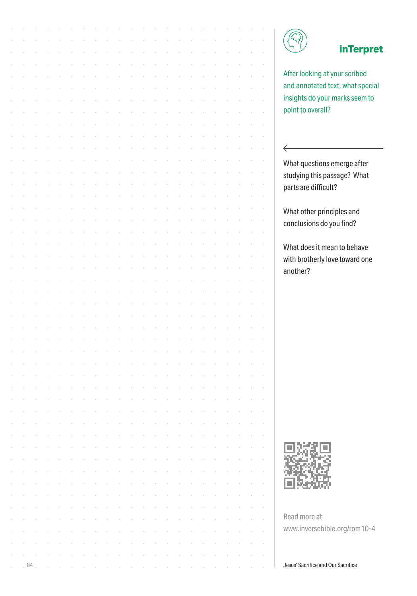

 $\leftarrow$ 

# **inTerpret**

After looking at your scribed and annotated text, what special insights do your marks seem to point to overall?

What questions emerge after studying this passage? What parts are difficult?

What other principles and conclusions do you find?

What does it mean to behave with brotherly love toward one another?



Read more at www.inversebible.org/rom10-4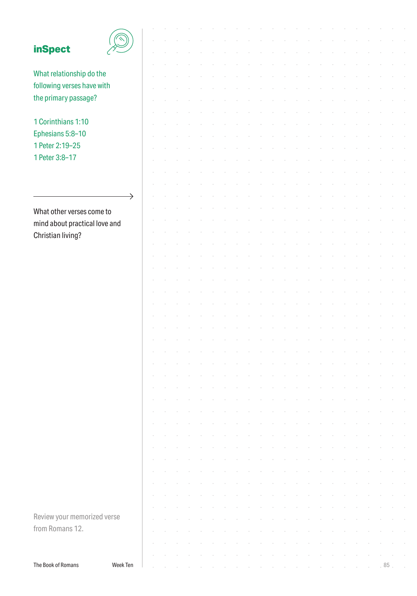| <b>inSpect</b>                |          |  |  |  |  |  |  |  |  |  |        |  |
|-------------------------------|----------|--|--|--|--|--|--|--|--|--|--------|--|
|                               |          |  |  |  |  |  |  |  |  |  |        |  |
|                               |          |  |  |  |  |  |  |  |  |  |        |  |
| What relationship do the      |          |  |  |  |  |  |  |  |  |  |        |  |
| following verses have with    |          |  |  |  |  |  |  |  |  |  |        |  |
| the primary passage?          |          |  |  |  |  |  |  |  |  |  |        |  |
|                               |          |  |  |  |  |  |  |  |  |  |        |  |
| 1 Corinthians 1:10            |          |  |  |  |  |  |  |  |  |  |        |  |
|                               |          |  |  |  |  |  |  |  |  |  |        |  |
| Ephesians 5:8-10              |          |  |  |  |  |  |  |  |  |  |        |  |
| 1 Peter 2:19-25               |          |  |  |  |  |  |  |  |  |  |        |  |
| 1 Peter 3:8-17                |          |  |  |  |  |  |  |  |  |  |        |  |
|                               |          |  |  |  |  |  |  |  |  |  |        |  |
|                               |          |  |  |  |  |  |  |  |  |  |        |  |
|                               |          |  |  |  |  |  |  |  |  |  |        |  |
|                               | →        |  |  |  |  |  |  |  |  |  |        |  |
| What other verses come to     |          |  |  |  |  |  |  |  |  |  |        |  |
|                               |          |  |  |  |  |  |  |  |  |  |        |  |
| mind about practical love and |          |  |  |  |  |  |  |  |  |  |        |  |
| Christian living?             |          |  |  |  |  |  |  |  |  |  |        |  |
|                               |          |  |  |  |  |  |  |  |  |  |        |  |
|                               |          |  |  |  |  |  |  |  |  |  |        |  |
|                               |          |  |  |  |  |  |  |  |  |  |        |  |
|                               |          |  |  |  |  |  |  |  |  |  |        |  |
|                               |          |  |  |  |  |  |  |  |  |  |        |  |
|                               |          |  |  |  |  |  |  |  |  |  |        |  |
|                               |          |  |  |  |  |  |  |  |  |  |        |  |
|                               |          |  |  |  |  |  |  |  |  |  |        |  |
|                               |          |  |  |  |  |  |  |  |  |  |        |  |
|                               |          |  |  |  |  |  |  |  |  |  |        |  |
|                               |          |  |  |  |  |  |  |  |  |  |        |  |
|                               |          |  |  |  |  |  |  |  |  |  |        |  |
|                               |          |  |  |  |  |  |  |  |  |  |        |  |
|                               |          |  |  |  |  |  |  |  |  |  |        |  |
|                               |          |  |  |  |  |  |  |  |  |  |        |  |
|                               |          |  |  |  |  |  |  |  |  |  |        |  |
|                               |          |  |  |  |  |  |  |  |  |  |        |  |
|                               |          |  |  |  |  |  |  |  |  |  |        |  |
|                               |          |  |  |  |  |  |  |  |  |  |        |  |
|                               |          |  |  |  |  |  |  |  |  |  |        |  |
|                               |          |  |  |  |  |  |  |  |  |  |        |  |
|                               |          |  |  |  |  |  |  |  |  |  |        |  |
|                               |          |  |  |  |  |  |  |  |  |  |        |  |
|                               |          |  |  |  |  |  |  |  |  |  |        |  |
|                               |          |  |  |  |  |  |  |  |  |  |        |  |
|                               |          |  |  |  |  |  |  |  |  |  |        |  |
|                               |          |  |  |  |  |  |  |  |  |  |        |  |
| Review your memorized verse   |          |  |  |  |  |  |  |  |  |  |        |  |
| from Romans 12.               |          |  |  |  |  |  |  |  |  |  |        |  |
|                               |          |  |  |  |  |  |  |  |  |  |        |  |
|                               |          |  |  |  |  |  |  |  |  |  |        |  |
|                               |          |  |  |  |  |  |  |  |  |  |        |  |
| The Book of Romans            | Week Ten |  |  |  |  |  |  |  |  |  | $85$ . |  |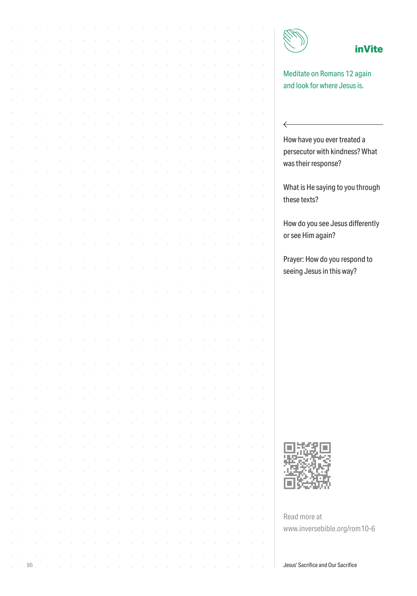$\leftarrow$ 

### **inVite**

Meditate on Romans 12 again and look for where Jesus is.

How have you ever treated a persecutor with kindness? What was their response?

What is He saying to you through these texts?

How do you see Jesus differently or see Him again?

Prayer: How do you respond to seeing Jesus in this way?



Read more at www.inversebible.org/rom10-6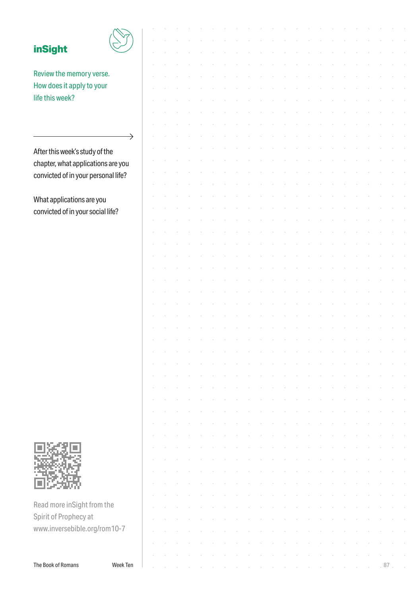| <b>inSight</b>                      |               |  |  |  |  |  |  |  |  |  |    |  |
|-------------------------------------|---------------|--|--|--|--|--|--|--|--|--|----|--|
|                                     |               |  |  |  |  |  |  |  |  |  |    |  |
| Review the memory verse.            |               |  |  |  |  |  |  |  |  |  |    |  |
| How does it apply to your           |               |  |  |  |  |  |  |  |  |  |    |  |
| life this week?                     |               |  |  |  |  |  |  |  |  |  |    |  |
|                                     |               |  |  |  |  |  |  |  |  |  |    |  |
|                                     |               |  |  |  |  |  |  |  |  |  |    |  |
|                                     |               |  |  |  |  |  |  |  |  |  |    |  |
|                                     | $\rightarrow$ |  |  |  |  |  |  |  |  |  |    |  |
| After this week's study of the      |               |  |  |  |  |  |  |  |  |  |    |  |
| chapter, what applications are you  |               |  |  |  |  |  |  |  |  |  |    |  |
| convicted of in your personal life? |               |  |  |  |  |  |  |  |  |  |    |  |
|                                     |               |  |  |  |  |  |  |  |  |  |    |  |
| What applications are you           |               |  |  |  |  |  |  |  |  |  |    |  |
| convicted of in your social life?   |               |  |  |  |  |  |  |  |  |  |    |  |
|                                     |               |  |  |  |  |  |  |  |  |  |    |  |
|                                     |               |  |  |  |  |  |  |  |  |  |    |  |
|                                     |               |  |  |  |  |  |  |  |  |  |    |  |
|                                     |               |  |  |  |  |  |  |  |  |  |    |  |
|                                     |               |  |  |  |  |  |  |  |  |  |    |  |
|                                     |               |  |  |  |  |  |  |  |  |  |    |  |
|                                     |               |  |  |  |  |  |  |  |  |  |    |  |
|                                     |               |  |  |  |  |  |  |  |  |  |    |  |
|                                     |               |  |  |  |  |  |  |  |  |  |    |  |
|                                     |               |  |  |  |  |  |  |  |  |  |    |  |
|                                     |               |  |  |  |  |  |  |  |  |  |    |  |
|                                     |               |  |  |  |  |  |  |  |  |  |    |  |
|                                     |               |  |  |  |  |  |  |  |  |  |    |  |
|                                     |               |  |  |  |  |  |  |  |  |  |    |  |
|                                     |               |  |  |  |  |  |  |  |  |  |    |  |
|                                     |               |  |  |  |  |  |  |  |  |  |    |  |
|                                     |               |  |  |  |  |  |  |  |  |  |    |  |
|                                     |               |  |  |  |  |  |  |  |  |  |    |  |
|                                     |               |  |  |  |  |  |  |  |  |  |    |  |
|                                     |               |  |  |  |  |  |  |  |  |  |    |  |
|                                     |               |  |  |  |  |  |  |  |  |  |    |  |
|                                     |               |  |  |  |  |  |  |  |  |  |    |  |
|                                     |               |  |  |  |  |  |  |  |  |  |    |  |
|                                     |               |  |  |  |  |  |  |  |  |  |    |  |
|                                     |               |  |  |  |  |  |  |  |  |  |    |  |
|                                     |               |  |  |  |  |  |  |  |  |  |    |  |
| Read more inSight from the          |               |  |  |  |  |  |  |  |  |  |    |  |
| Spirit of Prophecy at               |               |  |  |  |  |  |  |  |  |  |    |  |
| www.inversebible.org/rom10-7        |               |  |  |  |  |  |  |  |  |  |    |  |
|                                     |               |  |  |  |  |  |  |  |  |  |    |  |
|                                     |               |  |  |  |  |  |  |  |  |  |    |  |
| The Book of Romans                  | Week Ten      |  |  |  |  |  |  |  |  |  | 87 |  |